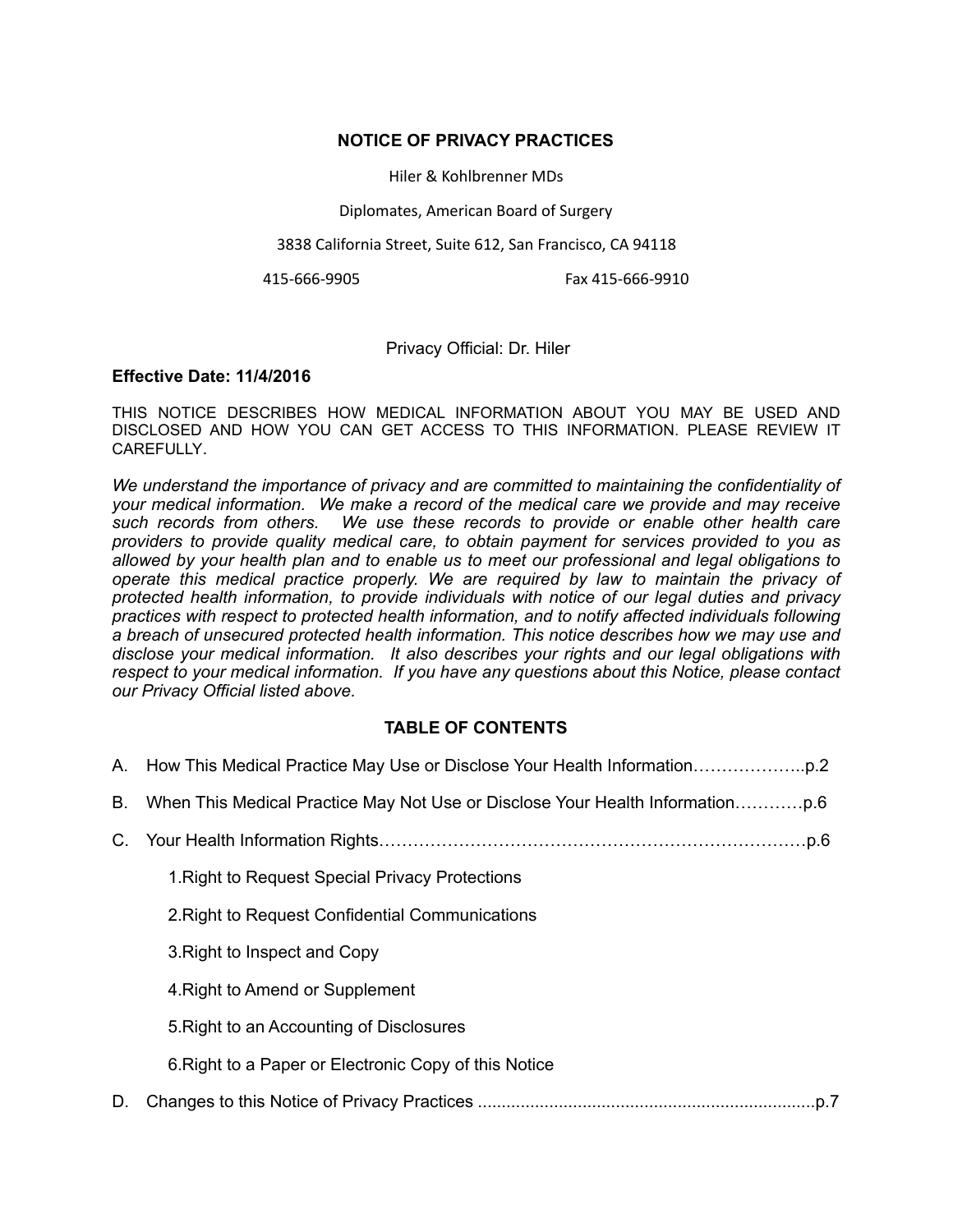#### **NOTICE OF PRIVACY PRACTICES**

Hiler & Kohlbrenner MDs

Diplomates, American Board of Surgery

3838 California Street, Suite 612, San Francisco, CA 94118

415-666-9905 Fax 415-666-9910

### Privacy Official: Dr. Hiler

#### **Effective Date: 11/4/2016**

THIS NOTICE DESCRIBES HOW MEDICAL INFORMATION ABOUT YOU MAY BE USED AND DISCLOSED AND HOW YOU CAN GET ACCESS TO THIS INFORMATION. PLEASE REVIEW IT **CAREFULLY** 

*We understand the importance of privacy and are committed to maintaining the confidentiality of your medical information. We make a record of the medical care we provide and may receive such records from others. We use these records to provide or enable other health care providers to provide quality medical care, to obtain payment for services provided to you as allowed by your health plan and to enable us to meet our professional and legal obligations to operate this medical practice properly. We are required by law to maintain the privacy of protected health information, to provide individuals with notice of our legal duties and privacy practices with respect to protected health information, and to notify affected individuals following a breach of unsecured protected health information. This notice describes how we may use and disclose your medical information. It also describes your rights and our legal obligations with respect to your medical information. If you have any questions about this Notice, please contact our Privacy Official listed above.* 

## **TABLE OF CONTENTS**

|    | 1. Right to Request Special Privacy Protections       |
|----|-------------------------------------------------------|
|    | 2. Right to Request Confidential Communications       |
|    | 3. Right to Inspect and Copy                          |
|    | 4. Right to Amend or Supplement                       |
|    | 5. Right to an Accounting of Disclosures              |
|    | 6. Right to a Paper or Electronic Copy of this Notice |
| D. |                                                       |
|    |                                                       |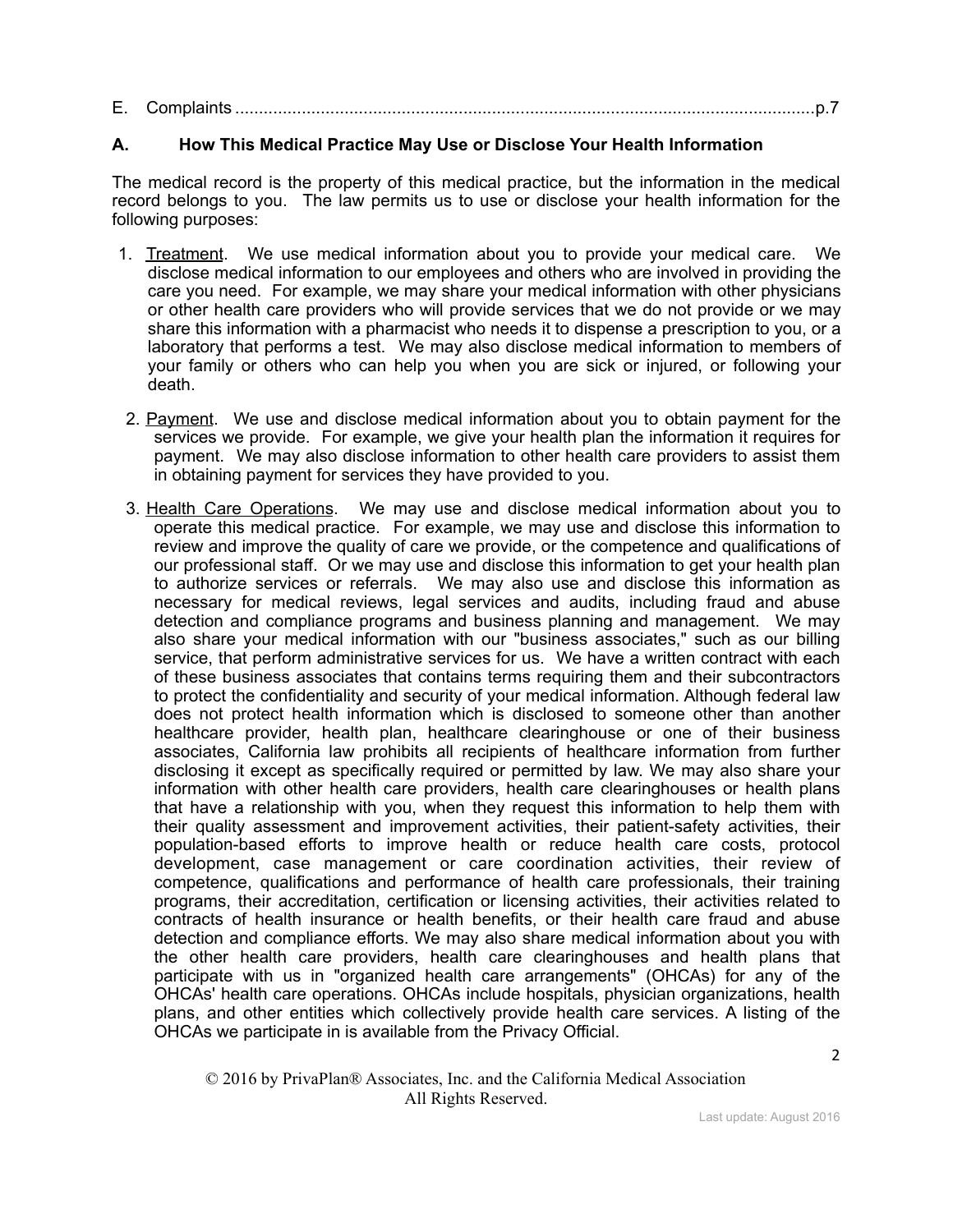| E. |  |  |
|----|--|--|
|    |  |  |

## **A. How This Medical Practice May Use or Disclose Your Health Information**

The medical record is the property of this medical practice, but the information in the medical record belongs to you. The law permits us to use or disclose your health information for the following purposes:

- 1. Treatment. We use medical information about you to provide your medical care. We disclose medical information to our employees and others who are involved in providing the care you need. For example, we may share your medical information with other physicians or other health care providers who will provide services that we do not provide or we may share this information with a pharmacist who needs it to dispense a prescription to you, or a laboratory that performs a test. We may also disclose medical information to members of your family or others who can help you when you are sick or injured, or following your death.
- 2. Payment. We use and disclose medical information about you to obtain payment for the services we provide. For example, we give your health plan the information it requires for payment. We may also disclose information to other health care providers to assist them in obtaining payment for services they have provided to you.
- 3. Health Care Operations. We may use and disclose medical information about you to operate this medical practice. For example, we may use and disclose this information to review and improve the quality of care we provide, or the competence and qualifications of our professional staff. Or we may use and disclose this information to get your health plan to authorize services or referrals. We may also use and disclose this information as necessary for medical reviews, legal services and audits, including fraud and abuse detection and compliance programs and business planning and management. We may also share your medical information with our "business associates," such as our billing service, that perform administrative services for us. We have a written contract with each of these business associates that contains terms requiring them and their subcontractors to protect the confidentiality and security of your medical information. Although federal law does not protect health information which is disclosed to someone other than another healthcare provider, health plan, healthcare clearinghouse or one of their business associates, California law prohibits all recipients of healthcare information from further disclosing it except as specifically required or permitted by law. We may also share your information with other health care providers, health care clearinghouses or health plans that have a relationship with you, when they request this information to help them with their quality assessment and improvement activities, their patient-safety activities, their population-based efforts to improve health or reduce health care costs, protocol development, case management or care coordination activities, their review of competence, qualifications and performance of health care professionals, their training programs, their accreditation, certification or licensing activities, their activities related to contracts of health insurance or health benefits, or their health care fraud and abuse detection and compliance efforts. We may also share medical information about you with the other health care providers, health care clearinghouses and health plans that participate with us in "organized health care arrangements" (OHCAs) for any of the OHCAs' health care operations. OHCAs include hospitals, physician organizations, health plans, and other entities which collectively provide health care services. A listing of the OHCAs we participate in is available from the Privacy Official.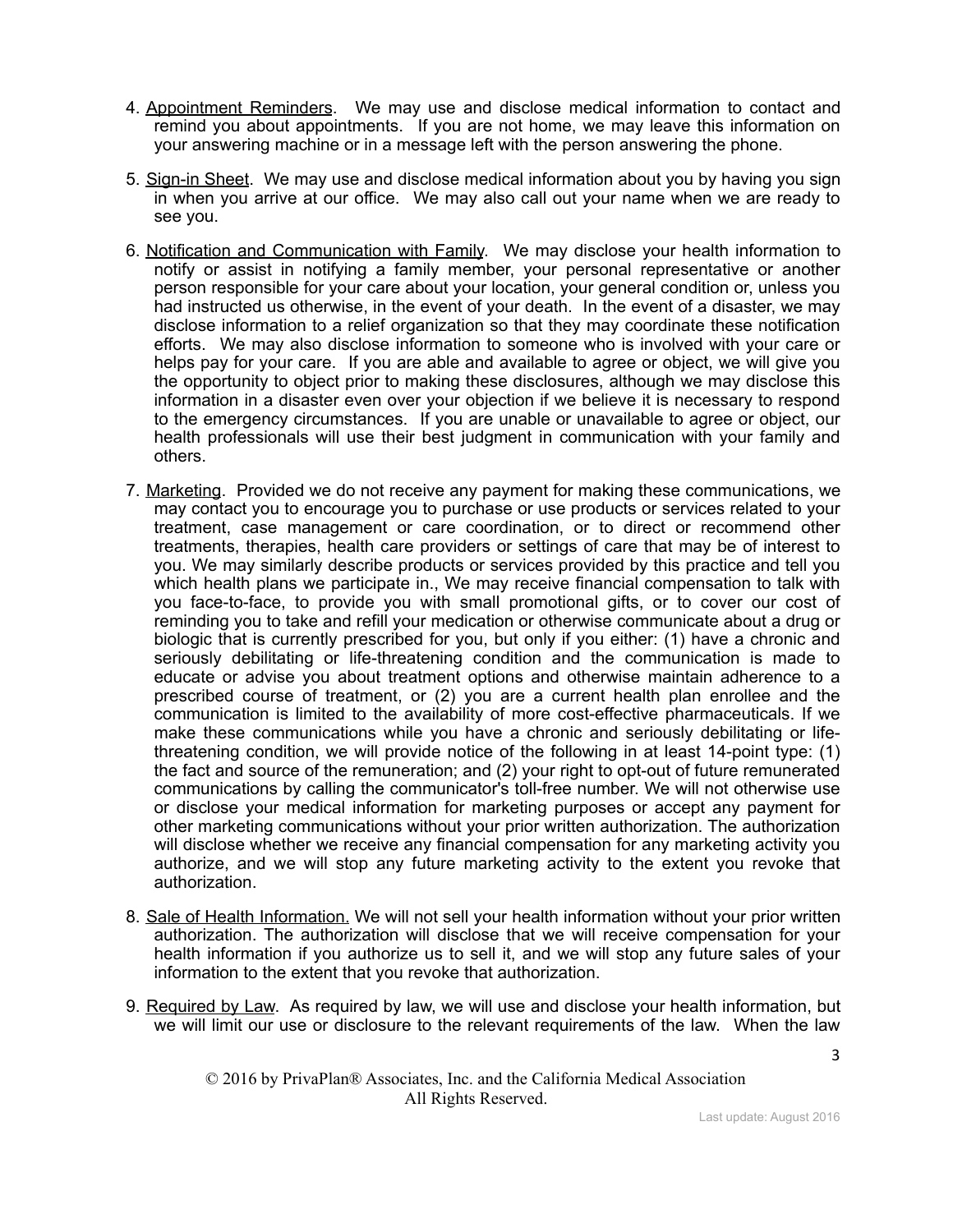- 4. Appointment Reminders. We may use and disclose medical information to contact and remind you about appointments. If you are not home, we may leave this information on your answering machine or in a message left with the person answering the phone.
- 5. Sign-in Sheet. We may use and disclose medical information about you by having you sign in when you arrive at our office. We may also call out your name when we are ready to see you.
- 6. Notification and Communication with Family. We may disclose your health information to notify or assist in notifying a family member, your personal representative or another person responsible for your care about your location, your general condition or, unless you had instructed us otherwise, in the event of your death. In the event of a disaster, we may disclose information to a relief organization so that they may coordinate these notification efforts. We may also disclose information to someone who is involved with your care or helps pay for your care. If you are able and available to agree or object, we will give you the opportunity to object prior to making these disclosures, although we may disclose this information in a disaster even over your objection if we believe it is necessary to respond to the emergency circumstances. If you are unable or unavailable to agree or object, our health professionals will use their best judgment in communication with your family and others.
- 7. Marketing. Provided we do not receive any payment for making these communications, we may contact you to encourage you to purchase or use products or services related to your treatment, case management or care coordination, or to direct or recommend other treatments, therapies, health care providers or settings of care that may be of interest to you. We may similarly describe products or services provided by this practice and tell you which health plans we participate in., We may receive financial compensation to talk with you face-to-face, to provide you with small promotional gifts, or to cover our cost of reminding you to take and refill your medication or otherwise communicate about a drug or biologic that is currently prescribed for you, but only if you either: (1) have a chronic and seriously debilitating or life-threatening condition and the communication is made to educate or advise you about treatment options and otherwise maintain adherence to a prescribed course of treatment, or (2) you are a current health plan enrollee and the communication is limited to the availability of more cost-effective pharmaceuticals. If we make these communications while you have a chronic and seriously debilitating or lifethreatening condition, we will provide notice of the following in at least 14-point type: (1) the fact and source of the remuneration; and (2) your right to opt-out of future remunerated communications by calling the communicator's toll-free number. We will not otherwise use or disclose your medical information for marketing purposes or accept any payment for other marketing communications without your prior written authorization. The authorization will disclose whether we receive any financial compensation for any marketing activity you authorize, and we will stop any future marketing activity to the extent you revoke that authorization.
- 8. Sale of Health Information. We will not sell your health information without your prior written authorization. The authorization will disclose that we will receive compensation for your health information if you authorize us to sell it, and we will stop any future sales of your information to the extent that you revoke that authorization.
- 9. Required by Law. As required by law, we will use and disclose your health information, but we will limit our use or disclosure to the relevant requirements of the law. When the law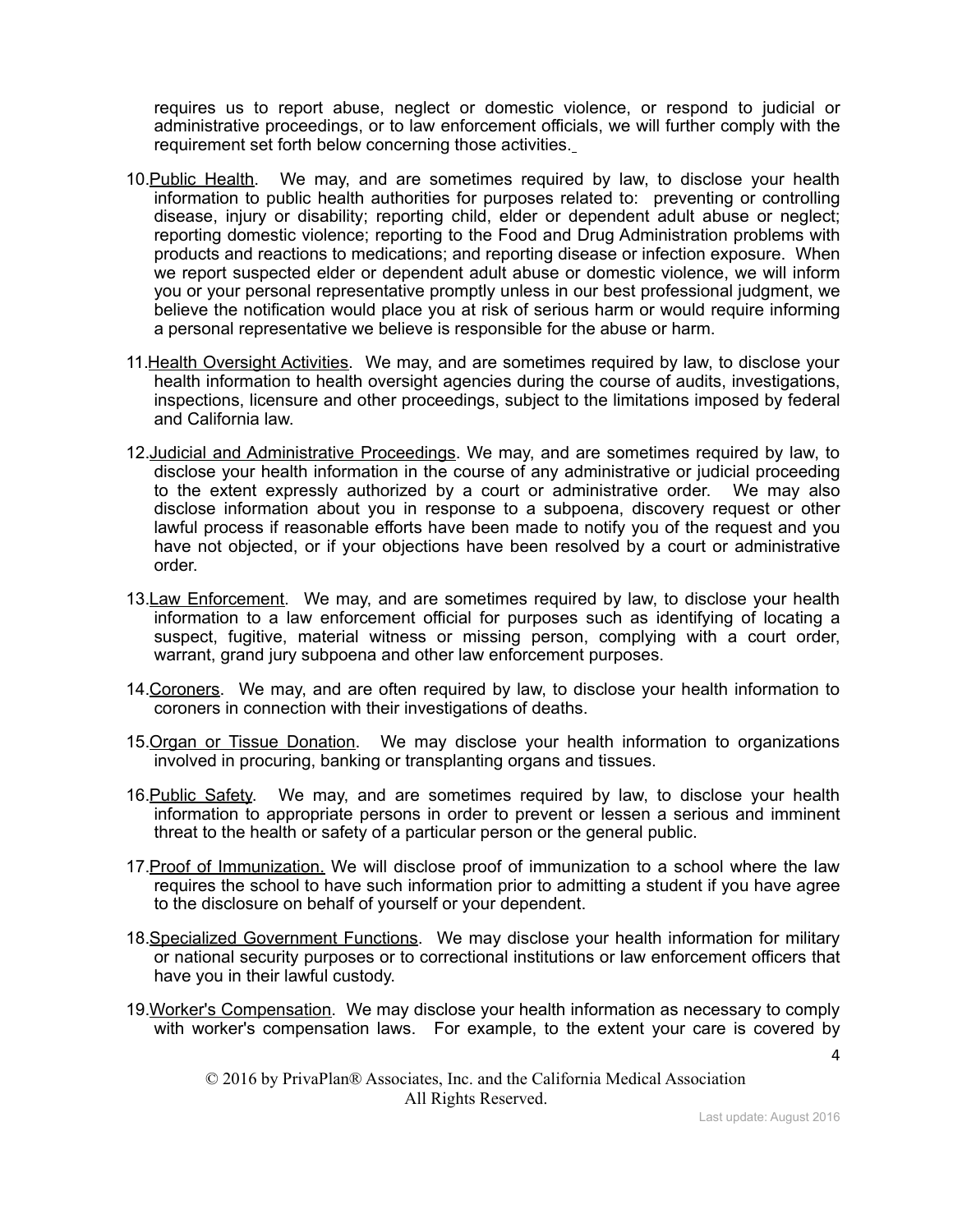requires us to report abuse, neglect or domestic violence, or respond to judicial or administrative proceedings, or to law enforcement officials, we will further comply with the requirement set forth below concerning those activities.

- 10. Public Health. We may, and are sometimes required by law, to disclose your health information to public health authorities for purposes related to: preventing or controlling disease, injury or disability; reporting child, elder or dependent adult abuse or neglect; reporting domestic violence; reporting to the Food and Drug Administration problems with products and reactions to medications; and reporting disease or infection exposure. When we report suspected elder or dependent adult abuse or domestic violence, we will inform you or your personal representative promptly unless in our best professional judgment, we believe the notification would place you at risk of serious harm or would require informing a personal representative we believe is responsible for the abuse or harm.
- 11.Health Oversight Activities. We may, and are sometimes required by law, to disclose your health information to health oversight agencies during the course of audits, investigations, inspections, licensure and other proceedings, subject to the limitations imposed by federal and California law.
- 12.Judicial and Administrative Proceedings. We may, and are sometimes required by law, to disclose your health information in the course of any administrative or judicial proceeding to the extent expressly authorized by a court or administrative order. We may also disclose information about you in response to a subpoena, discovery request or other lawful process if reasonable efforts have been made to notify you of the request and you have not objected, or if your objections have been resolved by a court or administrative order.
- 13.Law Enforcement. We may, and are sometimes required by law, to disclose your health information to a law enforcement official for purposes such as identifying of locating a suspect, fugitive, material witness or missing person, complying with a court order, warrant, grand jury subpoena and other law enforcement purposes.
- 14.Coroners. We may, and are often required by law, to disclose your health information to coroners in connection with their investigations of deaths.
- 15.Organ or Tissue Donation. We may disclose your health information to organizations involved in procuring, banking or transplanting organs and tissues.
- 16. Public Safety. We may, and are sometimes required by law, to disclose your health information to appropriate persons in order to prevent or lessen a serious and imminent threat to the health or safety of a particular person or the general public.
- 17. Proof of Immunization. We will disclose proof of immunization to a school where the law requires the school to have such information prior to admitting a student if you have agree to the disclosure on behalf of yourself or your dependent.
- 18. Specialized Government Functions. We may disclose your health information for military or national security purposes or to correctional institutions or law enforcement officers that have you in their lawful custody.
- 19. Worker's Compensation. We may disclose your health information as necessary to comply with worker's compensation laws. For example, to the extent your care is covered by

© 2016 by PrivaPlan® Associates, Inc. and the California Medical Association All Rights Reserved.

4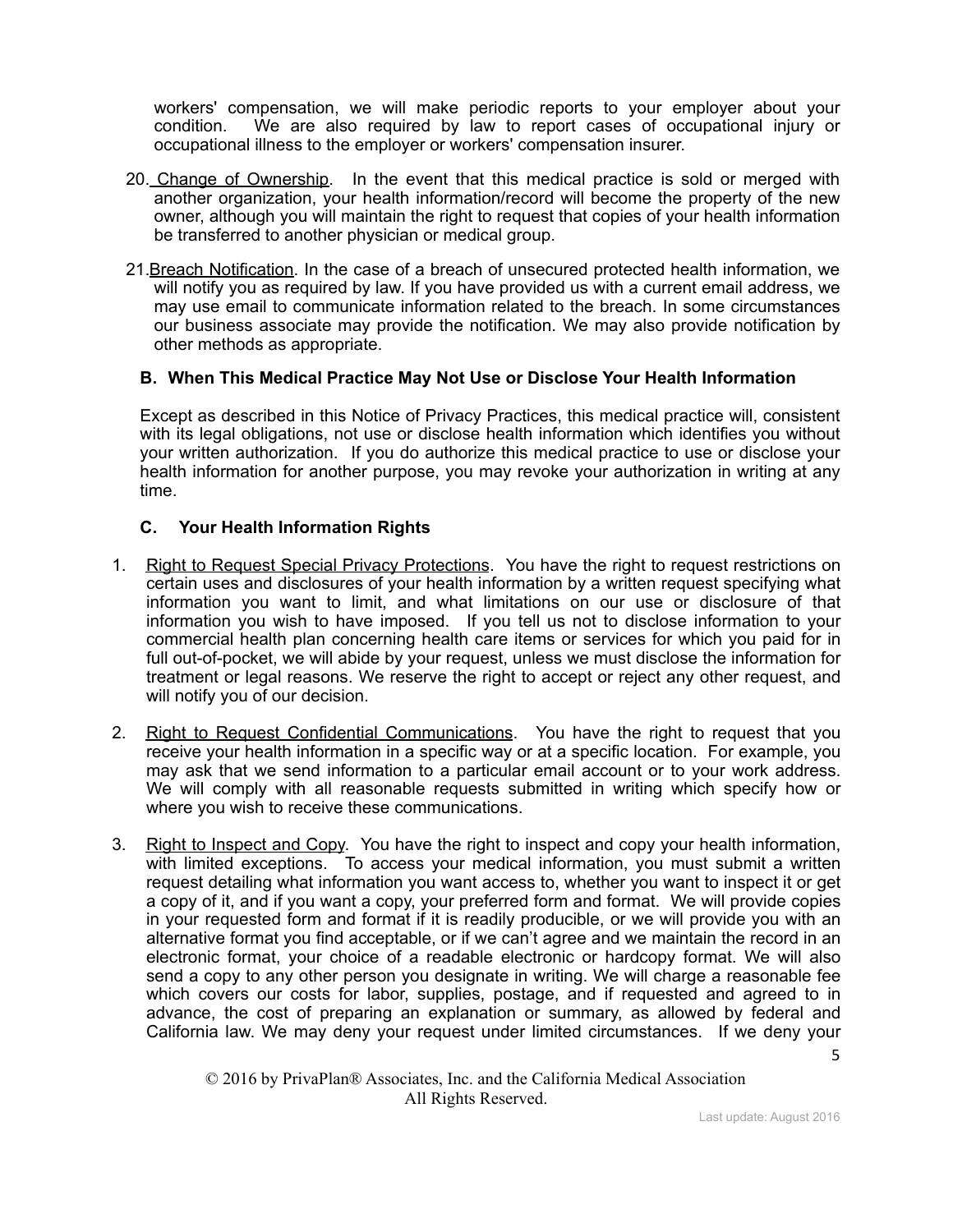workers' compensation, we will make periodic reports to your employer about your condition. We are also required by law to report cases of occupational injury or occupational illness to the employer or workers' compensation insurer.

- 20. Change of Ownership. In the event that this medical practice is sold or merged with another organization, your health information/record will become the property of the new owner, although you will maintain the right to request that copies of your health information be transferred to another physician or medical group.
- 21.Breach Notification. In the case of a breach of unsecured protected health information, we will notify you as required by law. If you have provided us with a current email address, we may use email to communicate information related to the breach. In some circumstances our business associate may provide the notification. We may also provide notification by other methods as appropriate.

## **B. When This Medical Practice May Not Use or Disclose Your Health Information**

Except as described in this Notice of Privacy Practices, this medical practice will, consistent with its legal obligations, not use or disclose health information which identifies you without your written authorization. If you do authorize this medical practice to use or disclose your health information for another purpose, you may revoke your authorization in writing at any time.

### **C. Your Health Information Rights**

- 1. Right to Request Special Privacy Protections. You have the right to request restrictions on certain uses and disclosures of your health information by a written request specifying what information you want to limit, and what limitations on our use or disclosure of that information you wish to have imposed. If you tell us not to disclose information to your commercial health plan concerning health care items or services for which you paid for in full out-of-pocket, we will abide by your request, unless we must disclose the information for treatment or legal reasons. We reserve the right to accept or reject any other request, and will notify you of our decision.
- 2. Right to Request Confidential Communications. You have the right to request that you receive your health information in a specific way or at a specific location. For example, you may ask that we send information to a particular email account or to your work address. We will comply with all reasonable requests submitted in writing which specify how or where you wish to receive these communications.
- 3. Right to Inspect and Copy. You have the right to inspect and copy your health information, with limited exceptions. To access your medical information, you must submit a written request detailing what information you want access to, whether you want to inspect it or get a copy of it, and if you want a copy, your preferred form and format. We will provide copies in your requested form and format if it is readily producible, or we will provide you with an alternative format you find acceptable, or if we can't agree and we maintain the record in an electronic format, your choice of a readable electronic or hardcopy format. We will also send a copy to any other person you designate in writing. We will charge a reasonable fee which covers our costs for labor, supplies, postage, and if requested and agreed to in advance, the cost of preparing an explanation or summary, as allowed by federal and California law. We may deny your request under limited circumstances. If we deny your

5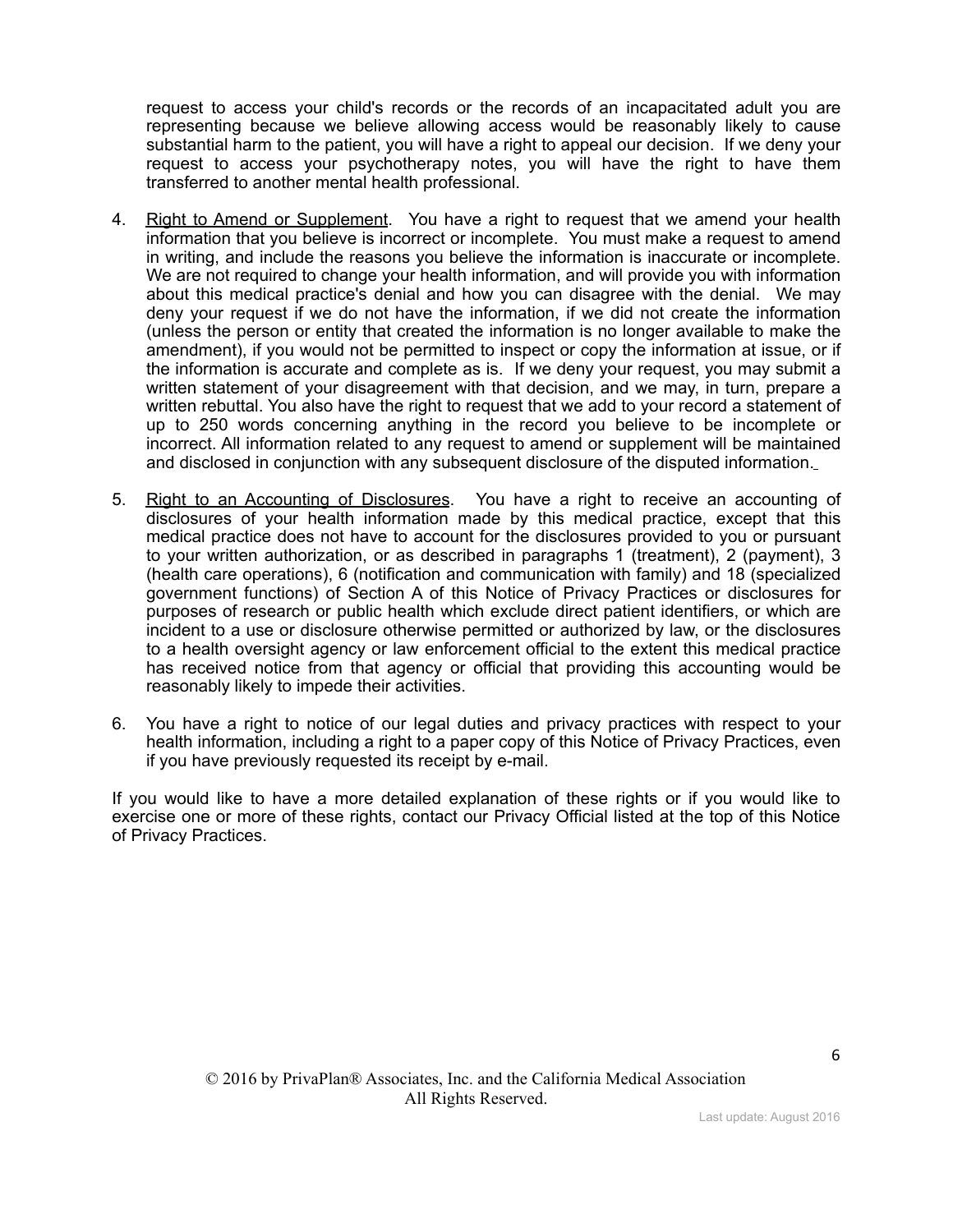request to access your child's records or the records of an incapacitated adult you are representing because we believe allowing access would be reasonably likely to cause substantial harm to the patient, you will have a right to appeal our decision. If we deny your request to access your psychotherapy notes, you will have the right to have them transferred to another mental health professional.

- 4. Right to Amend or Supplement. You have a right to request that we amend your health information that you believe is incorrect or incomplete. You must make a request to amend in writing, and include the reasons you believe the information is inaccurate or incomplete. We are not required to change your health information, and will provide you with information about this medical practice's denial and how you can disagree with the denial. We may deny your request if we do not have the information, if we did not create the information (unless the person or entity that created the information is no longer available to make the amendment), if you would not be permitted to inspect or copy the information at issue, or if the information is accurate and complete as is. If we deny your request, you may submit a written statement of your disagreement with that decision, and we may, in turn, prepare a written rebuttal. You also have the right to request that we add to your record a statement of up to 250 words concerning anything in the record you believe to be incomplete or incorrect. All information related to any request to amend or supplement will be maintained and disclosed in conjunction with any subsequent disclosure of the disputed information.
- 5. Right to an Accounting of Disclosures. You have a right to receive an accounting of disclosures of your health information made by this medical practice, except that this medical practice does not have to account for the disclosures provided to you or pursuant to your written authorization, or as described in paragraphs 1 (treatment), 2 (payment), 3 (health care operations), 6 (notification and communication with family) and 18 (specialized government functions) of Section A of this Notice of Privacy Practices or disclosures for purposes of research or public health which exclude direct patient identifiers, or which are incident to a use or disclosure otherwise permitted or authorized by law, or the disclosures to a health oversight agency or law enforcement official to the extent this medical practice has received notice from that agency or official that providing this accounting would be reasonably likely to impede their activities.
- 6. You have a right to notice of our legal duties and privacy practices with respect to your health information, including a right to a paper copy of this Notice of Privacy Practices, even if you have previously requested its receipt by e-mail.

If you would like to have a more detailed explanation of these rights or if you would like to exercise one or more of these rights, contact our Privacy Official listed at the top of this Notice of Privacy Practices.